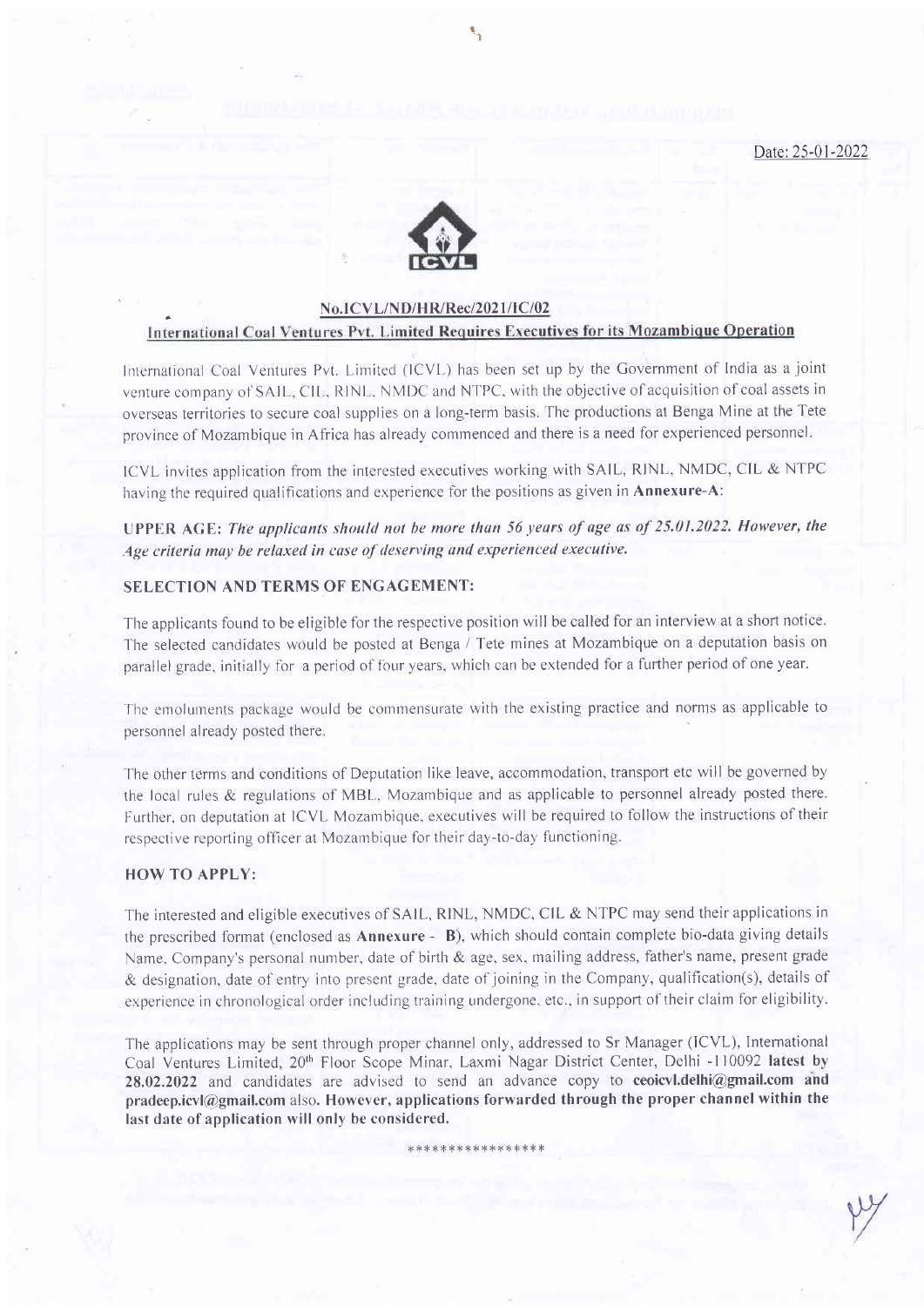Date:25-01-2022



# No.ICVL/ND/HR/Rec/2021/IC/02<br>International Coal Ventures Pvt. Limited Requires Executives for its Mozambique Operation

t I

International Coal Ventures Pyt. Limited (ICVL) has been set up by the Government of India as a joint venture company of SAIL, CIL, RINL, NMDC and NTPC, with the objective of acquisition of coal assets in overseas territories to secure coal supplies on a long-term basis. The productions at Benga Mine at the Tete province of Mozambique in Africa has already commenced and there is a need for experienced personnel.

ICVL invites application from the interested executives working with SAIL, RINL, NMDC, CIL & NTPC having the required qualifications and experience for the positions as given in **Annexure-A**:

UPPER AGE: The applicants should not be more than 56 years of age as of 25.01.2022, However, the Age criteria may be relaxed in case of deserving and experienced executive.

#### SELECTION AND TERMS OF ENGAGEMENT:

The applicants found to be eligible for the respective position will be called for an interview at a short notice. The selected candidates would be posted at Benga / Tete mines at Mozambique on a deputation basis on parallel grade, initially for a period of four years, which can be extended for a further period of one year.

The emoluments package would be commensurate with the existing practice and norms as applicable to personnel already posted there.

The other terms and conditions of Deputation like leave, accommodation, transport etc will be governed by the local rules & regulations of MBL. Mozambique and as applicable to personnel already posted there. Further, on deputation at ICVL Mozanbique, executives will be required to followthe instructions of their respective reporting officer at Mozambique for their day-to-day functioning.

#### HOW TO APPLY:

The interested and eligible executives of SAIL, RINL, NMDC, CIL & NTPC may send their applications in the prescribed format (enclosed as Annexure - B), which should contain complete bio-data giving details Name, Company's personal number, date of birth & age, sex, mailing address, father's name, present grade & designation, date of entry into present grade, date of joining in the Company, qualification(s), details of experience in chronological order including training undergone, etc., in support of their claim for eligibility.

The applications may be sent through proper channel only, addressed to Sr Manager (ICVL), International Coal Ventures Limited, 20<sup>th</sup> Floor Scope Minar, Laxmi Nagar District Center, Delhi -110092 latest by 28,02.2022 and candidates are advised to send an advance copy to ceoicvl.delhi@gmail.com and pradeep.icvl@gmail.com also. However, applications forwarded through the proper channel within the last date of application will only be considered.

\* \* \* \* \* \* \* \* \* \* \* \* \* \* \* \* \*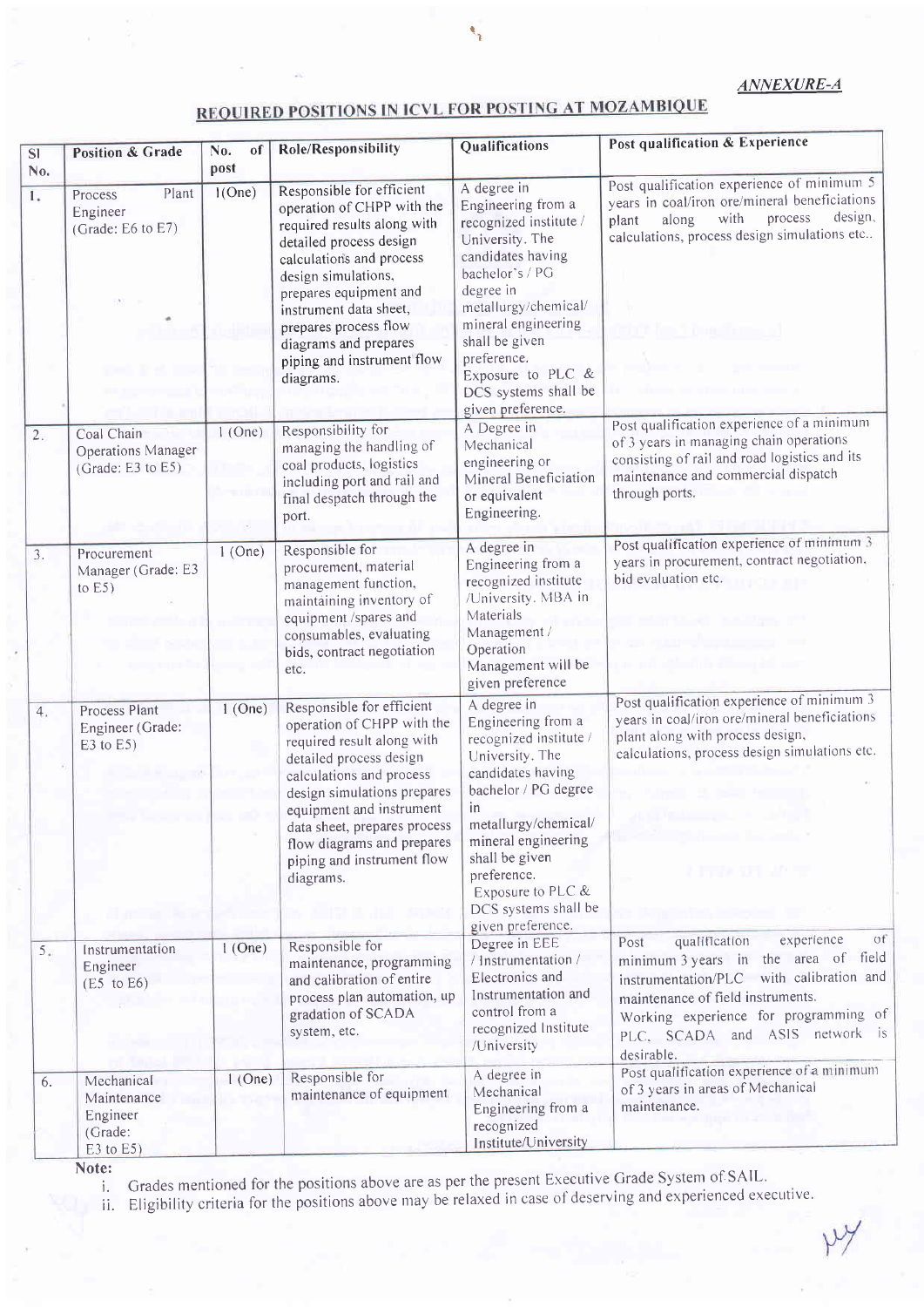#### ANNEXURE-A

 $~\vee~$ 

## **REQUIRED POSITIONS IN ICVL FOR POSTING AT MOZAMBIQUE**

I 'I

| SI <sup>-</sup><br>No. | <b>Position &amp; Grade</b>                                        | No.<br>of<br>post | <b>Role/Responsibility</b>                                                                                                                                                                                                                                                                                            | Qualifications                                                                                                                                                                                                                                                                        | Post qualification & Experience                                                                                                                                                                                                                             |
|------------------------|--------------------------------------------------------------------|-------------------|-----------------------------------------------------------------------------------------------------------------------------------------------------------------------------------------------------------------------------------------------------------------------------------------------------------------------|---------------------------------------------------------------------------------------------------------------------------------------------------------------------------------------------------------------------------------------------------------------------------------------|-------------------------------------------------------------------------------------------------------------------------------------------------------------------------------------------------------------------------------------------------------------|
| 1.                     | Plant<br>Process<br>Engineer<br>(Grade: E6 to E7)                  | 1(One)            | Responsible for efficient<br>operation of CHPP with the<br>required results along with<br>detailed process design<br>calculations and process<br>design simulations,<br>prepares equipment and<br>instrument data sheet,<br>prepares process flow<br>diagrams and prepares<br>piping and instrument flow<br>diagrams. | A degree in<br>Engineering from a<br>recognized institute /<br>University. The<br>candidates having<br>bachelor's / PG<br>degree in<br>metallurgy/chemical/<br>mineral engineering<br>shall be given<br>preference.<br>Exposure to PLC &<br>DCS systems shall be<br>given preference. | Post qualification experience of minimum 5<br>years in coal/iron ore/mineral beneficiations<br>design,<br>process<br>with<br>along<br>plant<br>calculations, process design simulations etc                                                                 |
| 2.                     | Coal Chain<br><b>Operations Manager</b><br>(Grade: E3 to E5)       | $1$ (One)         | Responsibility for<br>managing the handling of<br>coal products, logistics<br>including port and rail and<br>final despatch through the<br>port.                                                                                                                                                                      | A Degree in<br>Mechanical<br>engineering or<br>Mineral Beneficiation<br>or equivalent<br>Engineering.                                                                                                                                                                                 | Post qualification experience of a minimum<br>of 3 years in managing chain operations<br>consisting of rail and road logistics and its<br>maintenance and commercial dispatch<br>through ports.                                                             |
| 3.                     | Procurement<br>Manager (Grade: E3<br>to $E5$ )                     | $1$ (One)         | Responsible for<br>procurement, material<br>management function,<br>maintaining inventory of<br>equipment /spares and<br>consumables, evaluating<br>bids, contract negotiation<br>etc.                                                                                                                                | A degree in<br>Engineering from a<br>recognized institute<br>/University. MBA in<br>Materials<br>Management /<br>Operation<br>Management will be<br>given preference                                                                                                                  | Post qualification experience of minimum 3<br>years in procurement, contract negotiation.<br>bid evaluation etc.                                                                                                                                            |
| 4.                     | Process Plant<br>Engineer (Grade:<br>$E3$ to $E5$ )                | $1$ (One)         | Responsible for efficient<br>operation of CHPP with the<br>required result along with<br>detailed process design<br>calculations and process<br>design simulations prepares<br>equipment and instrument<br>data sheet, prepares process<br>flow diagrams and prepares<br>piping and instrument flow<br>diagrams.      | A degree in<br>Engineering from a<br>recognized institute /<br>University. The<br>candidates having<br>bachelor / PG degree<br>in<br>metallurgy/chemical/<br>mineral engineering<br>shall be given<br>preference.<br>Exposure to PLC &<br>DCS systems shall be<br>given preference.   | Post qualification experience of minimum 3<br>years in coal/iron ore/mineral beneficiations<br>plant along with process design,<br>calculations, process design simulations etc.<br>1 Pers 91 12                                                            |
| 5 <sub>ii</sub>        | Instrumentation<br>Engineer<br>$(E5 \text{ to } E6)$               | $1$ (One)         | Responsible for<br>maintenance, programming<br>and calibration of entire<br>process plan automation, up<br>gradation of SCADA<br>system, etc.                                                                                                                                                                         | Degree in EEE<br>/ Instrumentation /<br>Electronics and<br>Instrumentation and<br>control from a<br>recognized Institute<br>/University                                                                                                                                               | qualification<br>experience<br>οť<br>Post<br>minimum 3 years in the area of field<br>instrumentation/PLC with calibration and<br>maintenance of field instruments.<br>Working experience for programming of<br>PLC, SCADA and ASIS network is<br>desirable. |
| 6.                     | Mechanical<br>Maintenance<br>Engineer<br>(Grade:<br>$E3$ to $E5$ ) | $1$ (One)         | Responsible for<br>maintenance of equipment                                                                                                                                                                                                                                                                           | A degree in<br>Mechanical<br>Engineering from a<br>recognized<br>Institute/University                                                                                                                                                                                                 | Post qualification experience of a minimum<br>of 3 years in areas of Mechanical<br>maintenance.                                                                                                                                                             |

Note: i. Grades mentioned for the positions above are as per the present Executive Grade System of SAIL'

ii. Eligibility criteria for the positions above may be relaxed in case of deserving and experienced executive